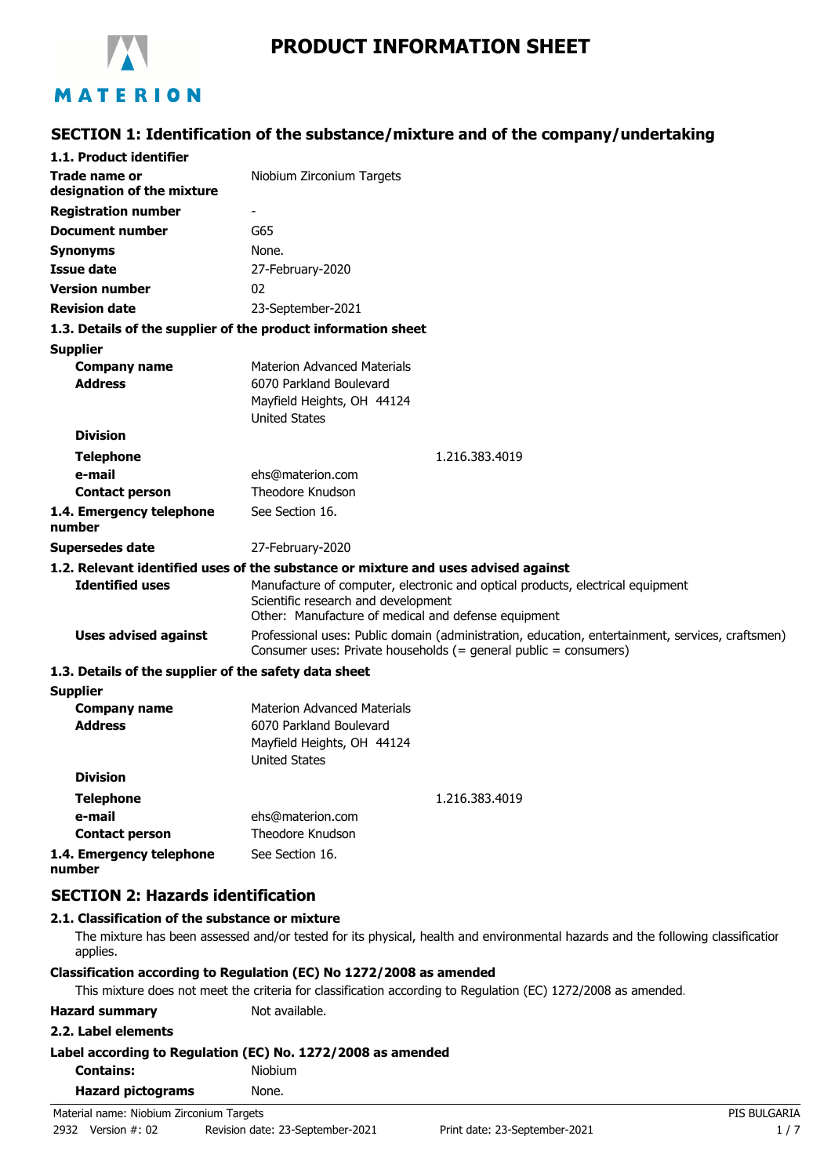

# **PRODUCT INFORMATION SHEET**

## **SECTION 1: Identification of the substance/mixture and of the company/undertaking**

| 1.1. Product identifier                               |                                                                                                                                                                              |
|-------------------------------------------------------|------------------------------------------------------------------------------------------------------------------------------------------------------------------------------|
| <b>Trade name or</b><br>designation of the mixture    | Niobium Zirconium Targets                                                                                                                                                    |
| <b>Registration number</b>                            |                                                                                                                                                                              |
| <b>Document number</b>                                | G65                                                                                                                                                                          |
| <b>Synonyms</b>                                       | None.                                                                                                                                                                        |
| <b>Issue date</b>                                     | 27-February-2020                                                                                                                                                             |
| <b>Version number</b>                                 | 02                                                                                                                                                                           |
| <b>Revision date</b>                                  | 23-September-2021                                                                                                                                                            |
|                                                       | 1.3. Details of the supplier of the product information sheet                                                                                                                |
| <b>Supplier</b>                                       |                                                                                                                                                                              |
| <b>Company name</b>                                   | <b>Materion Advanced Materials</b>                                                                                                                                           |
| <b>Address</b>                                        | 6070 Parkland Boulevard                                                                                                                                                      |
|                                                       | Mayfield Heights, OH 44124                                                                                                                                                   |
|                                                       | <b>United States</b>                                                                                                                                                         |
| <b>Division</b>                                       |                                                                                                                                                                              |
| <b>Telephone</b>                                      | 1.216.383.4019                                                                                                                                                               |
| e-mail                                                | ehs@materion.com                                                                                                                                                             |
| <b>Contact person</b>                                 | Theodore Knudson                                                                                                                                                             |
| 1.4. Emergency telephone<br>number                    | See Section 16.                                                                                                                                                              |
| <b>Supersedes date</b>                                | 27-February-2020                                                                                                                                                             |
|                                                       | 1.2. Relevant identified uses of the substance or mixture and uses advised against                                                                                           |
| <b>Identified uses</b>                                | Manufacture of computer, electronic and optical products, electrical equipment<br>Scientific research and development<br>Other: Manufacture of medical and defense equipment |
| <b>Uses advised against</b>                           | Professional uses: Public domain (administration, education, entertainment, services, craftsmen)<br>Consumer uses: Private households (= general public = consumers)         |
| 1.3. Details of the supplier of the safety data sheet |                                                                                                                                                                              |
| <b>Supplier</b>                                       |                                                                                                                                                                              |
| <b>Company name</b>                                   | <b>Materion Advanced Materials</b>                                                                                                                                           |
| <b>Address</b>                                        | 6070 Parkland Boulevard                                                                                                                                                      |
|                                                       | Mayfield Heights, OH 44124                                                                                                                                                   |
|                                                       | <b>United States</b>                                                                                                                                                         |
| <b>Division</b>                                       |                                                                                                                                                                              |
| <b>Telephone</b>                                      | 1.216.383.4019                                                                                                                                                               |
| e-mail                                                | ehs@materion.com                                                                                                                                                             |
| <b>Contact person</b>                                 | Theodore Knudson                                                                                                                                                             |
| 1.4. Emergency telephone<br>number                    | See Section 16.                                                                                                                                                              |
| <b>SECTION 2: Hazards identification</b>              |                                                                                                                                                                              |

### **2.1. Classification of the substance or mixture**

The mixture has been assessed and/or tested for its physical, health and environmental hazards and the following classification applies.

#### **Classification according to Regulation (EC) No 1272/2008 as amended**

This mixture does not meet the criteria for classification according to Regulation (EC) 1272/2008 as amended.

**Hazard summary** Not available.

#### **2.2. Label elements**

## **Label according to Regulation (EC) No. 1272/2008 as amended**

| <b>Contains:</b> |  |  | Niobium |
|------------------|--|--|---------|
|                  |  |  |         |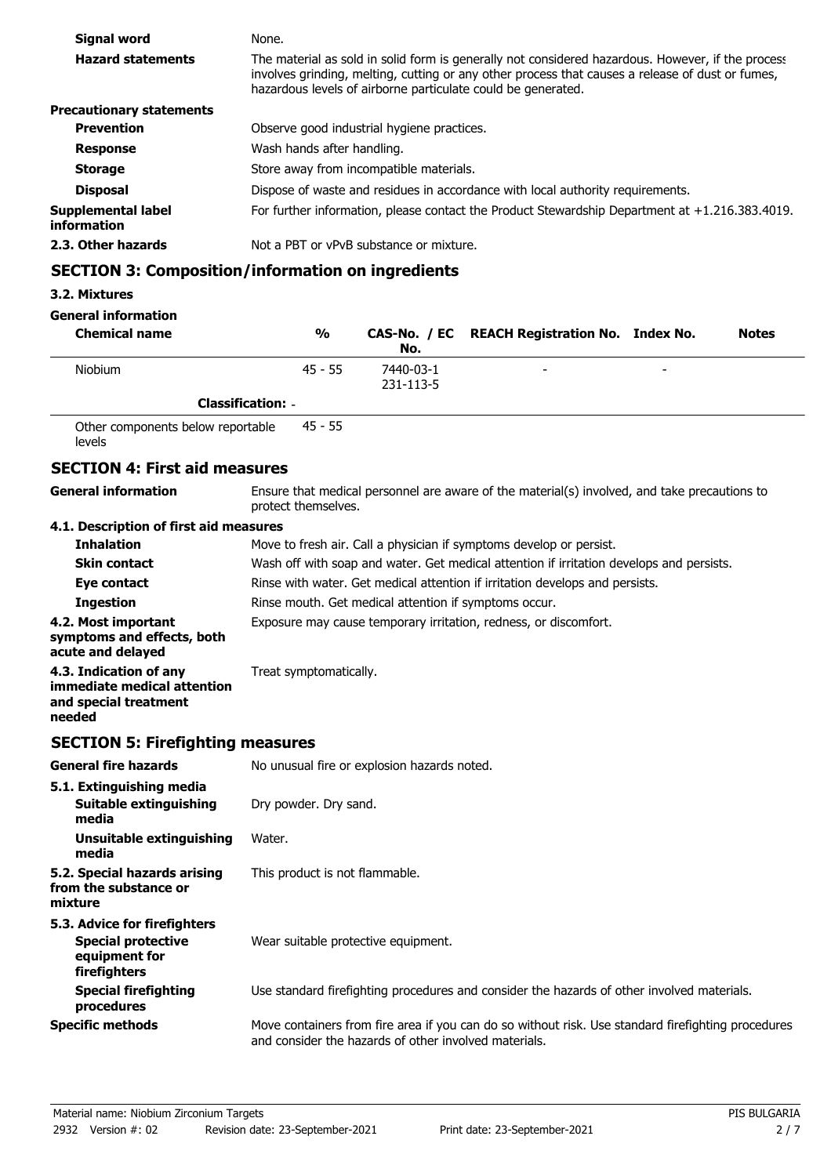| Signal word                       | None.                                                                                                                                                                                                                                                                 |
|-----------------------------------|-----------------------------------------------------------------------------------------------------------------------------------------------------------------------------------------------------------------------------------------------------------------------|
| <b>Hazard statements</b>          | The material as sold in solid form is generally not considered hazardous. However, if the process<br>involves grinding, melting, cutting or any other process that causes a release of dust or fumes,<br>hazardous levels of airborne particulate could be generated. |
| <b>Precautionary statements</b>   |                                                                                                                                                                                                                                                                       |
| <b>Prevention</b>                 | Observe good industrial hygiene practices.                                                                                                                                                                                                                            |
| <b>Response</b>                   | Wash hands after handling.                                                                                                                                                                                                                                            |
| <b>Storage</b>                    | Store away from incompatible materials.                                                                                                                                                                                                                               |
| <b>Disposal</b>                   | Dispose of waste and residues in accordance with local authority requirements.                                                                                                                                                                                        |
| Supplemental label<br>information | For further information, please contact the Product Stewardship Department at $+1.216.383.4019$ .                                                                                                                                                                     |
| 2.3. Other hazards                | Not a PBT or vPvB substance or mixture.                                                                                                                                                                                                                               |

# **SECTION 3: Composition/information on ingredients**

### **3.2. Mixtures**

**General information**

| <b>Chemical name</b> | $\frac{0}{0}$            | No.                    | CAS-No. / EC REACH Registration No. Index No. |   | <b>Notes</b> |
|----------------------|--------------------------|------------------------|-----------------------------------------------|---|--------------|
| <b>Niobium</b>       | $45 - 55$                | 7440-03-1<br>231-113-5 | -                                             | - |              |
|                      | <b>Classification: -</b> |                        |                                               |   |              |

Other components below reportable levels 45 - 55

## **SECTION 4: First aid measures**

**General information**

Ensure that medical personnel are aware of the material(s) involved, and take precautions to protect themselves.

### **4.1. Description of first aid measures**

| <b>Inhalation</b>                                                                        | Move to fresh air. Call a physician if symptoms develop or persist.                      |
|------------------------------------------------------------------------------------------|------------------------------------------------------------------------------------------|
| <b>Skin contact</b>                                                                      | Wash off with soap and water. Get medical attention if irritation develops and persists. |
| Eye contact                                                                              | Rinse with water. Get medical attention if irritation develops and persists.             |
| <b>Ingestion</b>                                                                         | Rinse mouth. Get medical attention if symptoms occur.                                    |
| 4.2. Most important<br>symptoms and effects, both<br>acute and delayed                   | Exposure may cause temporary irritation, redness, or discomfort.                         |
| 4.3. Indication of any<br>immediate medical attention<br>and special treatment<br>needed | Treat symptomatically.                                                                   |

## **SECTION 5: Firefighting measures**

| <b>General fire hazards</b>                                                                | No unusual fire or explosion hazards noted.                                                                                                                 |
|--------------------------------------------------------------------------------------------|-------------------------------------------------------------------------------------------------------------------------------------------------------------|
| 5.1. Extinguishing media<br>Suitable extinguishing<br>media                                | Dry powder. Dry sand.                                                                                                                                       |
| Unsuitable extinguishing<br>media                                                          | Water.                                                                                                                                                      |
| 5.2. Special hazards arising<br>from the substance or<br>mixture                           | This product is not flammable.                                                                                                                              |
| 5.3. Advice for firefighters<br><b>Special protective</b><br>equipment for<br>firefighters | Wear suitable protective equipment.                                                                                                                         |
| <b>Special firefighting</b><br>procedures                                                  | Use standard firefighting procedures and consider the hazards of other involved materials.                                                                  |
| <b>Specific methods</b>                                                                    | Move containers from fire area if you can do so without risk. Use standard firefighting procedures<br>and consider the hazards of other involved materials. |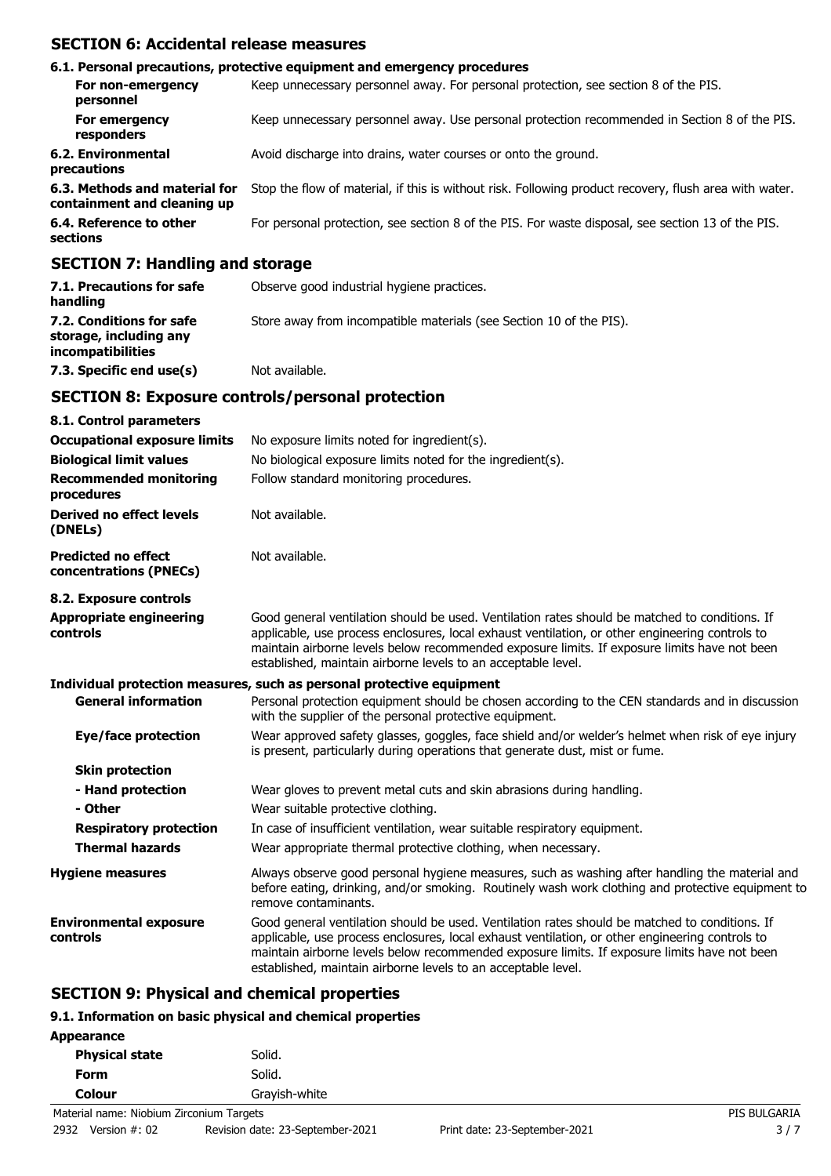## **SECTION 6: Accidental release measures**

|                                                                   | 6.1. Personal precautions, protective equipment and emergency procedures                               |
|-------------------------------------------------------------------|--------------------------------------------------------------------------------------------------------|
| For non-emergency<br>personnel                                    | Keep unnecessary personnel away. For personal protection, see section 8 of the PIS.                    |
| For emergency<br>responders                                       | Keep unnecessary personnel away. Use personal protection recommended in Section 8 of the PIS.          |
| 6.2. Environmental<br>precautions                                 | Avoid discharge into drains, water courses or onto the ground.                                         |
| 6.3. Methods and material for<br>containment and cleaning up      | Stop the flow of material, if this is without risk. Following product recovery, flush area with water. |
| 6.4. Reference to other<br>sections                               | For personal protection, see section 8 of the PIS. For waste disposal, see section 13 of the PIS.      |
| $CFATTAH$ , $H_{\text{max}}$ , $H_{\text{max}}$ , $A$ , $A$ , $A$ |                                                                                                        |

### **SECTION 7: Handling and storage**

| 7.1. Precautions for safe<br>handling                                          | Observe good industrial hygiene practices.                          |
|--------------------------------------------------------------------------------|---------------------------------------------------------------------|
| 7.2. Conditions for safe<br>storage, including any<br><i>incompatibilities</i> | Store away from incompatible materials (see Section 10 of the PIS). |
| 7.3. Specific end use(s)                                                       | Not available.                                                      |

### **SECTION 8: Exposure controls/personal protection**

| 8.1. Control parameters                              |                                                                                                                                                                                                                                                                                                                                                                    |
|------------------------------------------------------|--------------------------------------------------------------------------------------------------------------------------------------------------------------------------------------------------------------------------------------------------------------------------------------------------------------------------------------------------------------------|
| <b>Occupational exposure limits</b>                  | No exposure limits noted for ingredient(s).                                                                                                                                                                                                                                                                                                                        |
| <b>Biological limit values</b>                       | No biological exposure limits noted for the ingredient(s).                                                                                                                                                                                                                                                                                                         |
| <b>Recommended monitoring</b><br>procedures          | Follow standard monitoring procedures.                                                                                                                                                                                                                                                                                                                             |
| <b>Derived no effect levels</b><br>(DNELs)           | Not available.                                                                                                                                                                                                                                                                                                                                                     |
| <b>Predicted no effect</b><br>concentrations (PNECs) | Not available.                                                                                                                                                                                                                                                                                                                                                     |
| 8.2. Exposure controls                               |                                                                                                                                                                                                                                                                                                                                                                    |
| <b>Appropriate engineering</b><br>controls           | Good general ventilation should be used. Ventilation rates should be matched to conditions. If<br>applicable, use process enclosures, local exhaust ventilation, or other engineering controls to<br>maintain airborne levels below recommended exposure limits. If exposure limits have not been<br>established, maintain airborne levels to an acceptable level. |
|                                                      | Individual protection measures, such as personal protective equipment                                                                                                                                                                                                                                                                                              |
| <b>General information</b>                           | Personal protection equipment should be chosen according to the CEN standards and in discussion<br>with the supplier of the personal protective equipment.                                                                                                                                                                                                         |
| Eye/face protection                                  | Wear approved safety glasses, goggles, face shield and/or welder's helmet when risk of eye injury<br>is present, particularly during operations that generate dust, mist or fume.                                                                                                                                                                                  |
| <b>Skin protection</b>                               |                                                                                                                                                                                                                                                                                                                                                                    |
| - Hand protection                                    | Wear gloves to prevent metal cuts and skin abrasions during handling.                                                                                                                                                                                                                                                                                              |
| - Other                                              | Wear suitable protective clothing.                                                                                                                                                                                                                                                                                                                                 |
| <b>Respiratory protection</b>                        | In case of insufficient ventilation, wear suitable respiratory equipment.                                                                                                                                                                                                                                                                                          |
| <b>Thermal hazards</b>                               | Wear appropriate thermal protective clothing, when necessary.                                                                                                                                                                                                                                                                                                      |
| <b>Hygiene measures</b>                              | Always observe good personal hygiene measures, such as washing after handling the material and<br>before eating, drinking, and/or smoking. Routinely wash work clothing and protective equipment to<br>remove contaminants.                                                                                                                                        |
| <b>Environmental exposure</b><br>controls            | Good general ventilation should be used. Ventilation rates should be matched to conditions. If<br>applicable, use process enclosures, local exhaust ventilation, or other engineering controls to<br>maintain airborne levels below recommended exposure limits. If exposure limits have not been<br>established, maintain airborne levels to an acceptable level. |

### **SECTION 9: Physical and chemical properties**

## **9.1. Information on basic physical and chemical properties**

| Appearance            |  |               |
|-----------------------|--|---------------|
| <b>Physical state</b> |  | Solid.        |
| Form                  |  | Solid.        |
| Colour                |  | Grayish-white |
|                       |  |               |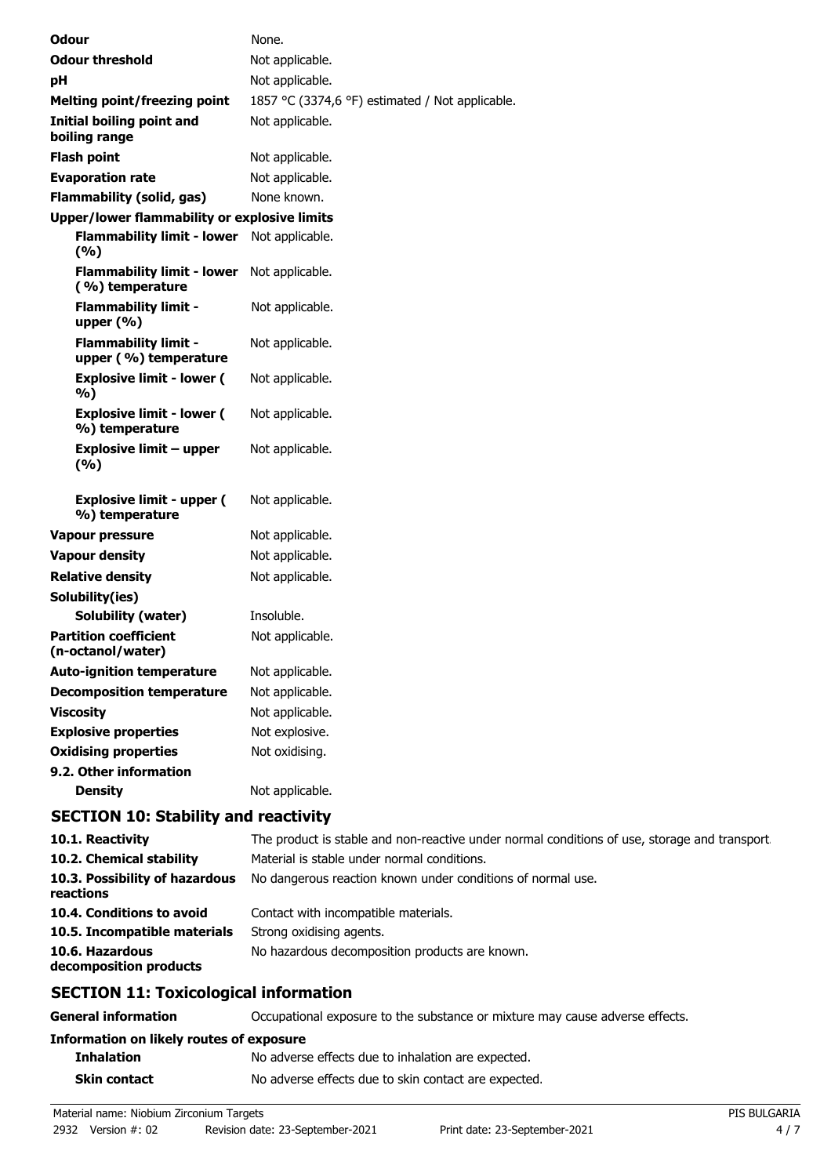| <b>Odour</b>                                         | None.                                                    |
|------------------------------------------------------|----------------------------------------------------------|
| <b>Odour threshold</b>                               | Not applicable.                                          |
| pH                                                   | Not applicable.                                          |
| <b>Melting point/freezing point</b>                  | 1857 °C (3374,6 °F) estimated / Not applicable.          |
| Initial boiling point and<br>boiling range           | Not applicable.                                          |
| <b>Flash point</b>                                   | Not applicable.                                          |
| <b>Evaporation rate</b>                              | Not applicable.                                          |
| <b>Flammability (solid, gas)</b>                     | None known.                                              |
| <b>Upper/lower flammability or explosive limits</b>  |                                                          |
| <b>Flammability limit - lower</b><br>(%)             | Not applicable.                                          |
| <b>Flammability limit - lower</b><br>(%) temperature | Not applicable.                                          |
| <b>Flammability limit -</b><br>upper (%)             | Not applicable.                                          |
| <b>Flammability limit -</b><br>upper (%) temperature | Not applicable.                                          |
| <b>Explosive limit - lower (</b><br>%)               | Not applicable.                                          |
| <b>Explosive limit - lower (</b><br>%) temperature   | Not applicable.                                          |
| <b>Explosive limit - upper</b><br>(%)                | Not applicable.                                          |
| <b>Explosive limit - upper (</b><br>%) temperature   | Not applicable.                                          |
| <b>Vapour pressure</b>                               | Not applicable.                                          |
| <b>Vapour density</b>                                | Not applicable.                                          |
| <b>Relative density</b>                              | Not applicable.                                          |
| Solubility(ies)                                      |                                                          |
| Solubility (water)                                   | Insoluble.                                               |
| <b>Partition coefficient</b><br>(n-octanol/water)    | Not applicable.                                          |
| <b>Auto-ignition temperature</b>                     | Not applicable.                                          |
| <b>Decomposition temperature</b>                     | Not applicable.                                          |
| <b>Viscosity</b>                                     | Not applicable.                                          |
| <b>Explosive properties</b>                          | Not explosive.                                           |
| <b>Oxidising properties</b>                          | Not oxidising.                                           |
| 9.2. Other information                               |                                                          |
| <b>Density</b>                                       | Not applicable.                                          |
| <b>SECTION 10: Stability and reactivity</b>          |                                                          |
| 10.1. Reactivity                                     | The product is stable and non-reactive under normal cond |

| 10.1. Reactivity                             | The product is stable and non-reactive under normal conditions of use, storage and transport |
|----------------------------------------------|----------------------------------------------------------------------------------------------|
| 10.2. Chemical stability                     | Material is stable under normal conditions.                                                  |
| 10.3. Possibility of hazardous<br>reactions  | No dangerous reaction known under conditions of normal use.                                  |
| 10.4. Conditions to avoid                    | Contact with incompatible materials.                                                         |
| 10.5. Incompatible materials                 | Strong oxidising agents.                                                                     |
| 10.6. Hazardous<br>decomposition products    | No hazardous decomposition products are known.                                               |
| <b>SECTION 11: Toxicological information</b> |                                                                                              |

# **SECTION 11: Toxicological information**

| <b>General information</b>               | Occupational exposure to the substance or mixture may cause adverse effects. |
|------------------------------------------|------------------------------------------------------------------------------|
| Information on likely routes of exposure |                                                                              |
| <b>Inhalation</b>                        | No adverse effects due to inhalation are expected.                           |
| <b>Skin contact</b>                      | No adverse effects due to skin contact are expected.                         |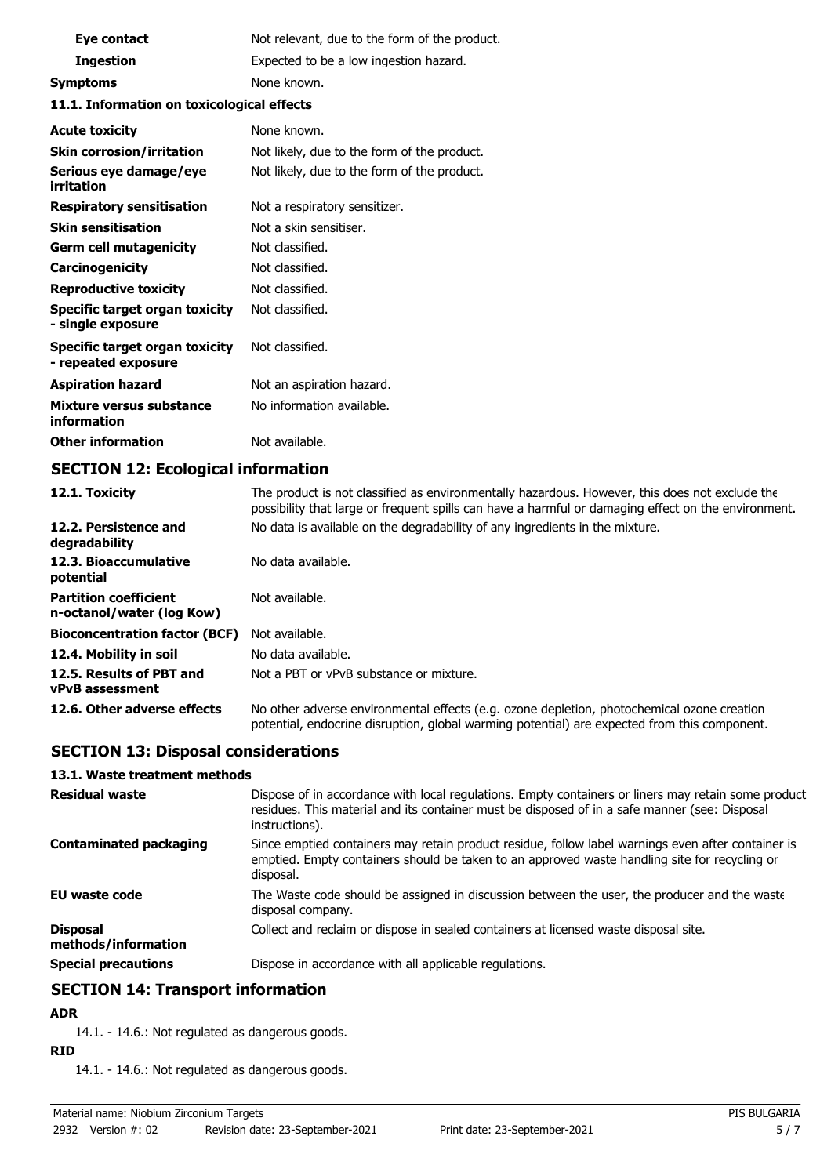| Eye contact                                                | Not relevant, due to the form of the product. |
|------------------------------------------------------------|-----------------------------------------------|
| <b>Ingestion</b>                                           | Expected to be a low ingestion hazard.        |
| <b>Symptoms</b>                                            | None known.                                   |
| 11.1. Information on toxicological effects                 |                                               |
| <b>Acute toxicity</b>                                      | None known.                                   |
| <b>Skin corrosion/irritation</b>                           | Not likely, due to the form of the product.   |
| Serious eye damage/eye<br>irritation                       | Not likely, due to the form of the product.   |
| <b>Respiratory sensitisation</b>                           | Not a respiratory sensitizer.                 |
| <b>Skin sensitisation</b>                                  | Not a skin sensitiser.                        |
| <b>Germ cell mutagenicity</b>                              | Not classified.                               |
| Carcinogenicity                                            | Not classified.                               |
| <b>Reproductive toxicity</b>                               | Not classified.                               |
| <b>Specific target organ toxicity</b><br>- single exposure | Not classified.                               |
| Specific target organ toxicity<br>- repeated exposure      | Not classified.                               |
| <b>Aspiration hazard</b>                                   | Not an aspiration hazard.                     |
| Mixture versus substance<br>information                    | No information available.                     |
| <b>Other information</b>                                   | Not available.                                |

## **SECTION 12: Ecological information**

| 12.1. Toxicity                                            | The product is not classified as environmentally hazardous. However, this does not exclude the<br>possibility that large or frequent spills can have a harmful or damaging effect on the environment. |
|-----------------------------------------------------------|-------------------------------------------------------------------------------------------------------------------------------------------------------------------------------------------------------|
| 12.2. Persistence and<br>degradability                    | No data is available on the degradability of any ingredients in the mixture.                                                                                                                          |
| 12.3. Bioaccumulative<br>potential                        | No data available.                                                                                                                                                                                    |
| <b>Partition coefficient</b><br>n-octanol/water (log Kow) | Not available.                                                                                                                                                                                        |
| <b>Bioconcentration factor (BCF)</b>                      | Not available.                                                                                                                                                                                        |
| 12.4. Mobility in soil                                    | No data available.                                                                                                                                                                                    |
| 12.5. Results of PBT and<br>vPvB assessment               | Not a PBT or vPvB substance or mixture.                                                                                                                                                               |
| 12.6. Other adverse effects                               | No other adverse environmental effects (e.g. ozone depletion, photochemical ozone creation<br>potential, endocrine disruption, global warming potential) are expected from this component.            |

## **SECTION 13: Disposal considerations**

#### **13.1. Waste treatment methods**

| <b>Residual waste</b>                  | Dispose of in accordance with local regulations. Empty containers or liners may retain some product<br>residues. This material and its container must be disposed of in a safe manner (see: Disposal<br>instructions). |
|----------------------------------------|------------------------------------------------------------------------------------------------------------------------------------------------------------------------------------------------------------------------|
| <b>Contaminated packaging</b>          | Since emptied containers may retain product residue, follow label warnings even after container is<br>emptied. Empty containers should be taken to an approved waste handling site for recycling or<br>disposal.       |
| <b>EU waste code</b>                   | The Waste code should be assigned in discussion between the user, the producer and the waste<br>disposal company.                                                                                                      |
| <b>Disposal</b><br>methods/information | Collect and reclaim or dispose in sealed containers at licensed waste disposal site.                                                                                                                                   |
| <b>Special precautions</b>             | Dispose in accordance with all applicable regulations.                                                                                                                                                                 |

## **SECTION 14: Transport information**

### **ADR**

14.1. - 14.6.: Not regulated as dangerous goods.

### **RID**

14.1. - 14.6.: Not regulated as dangerous goods.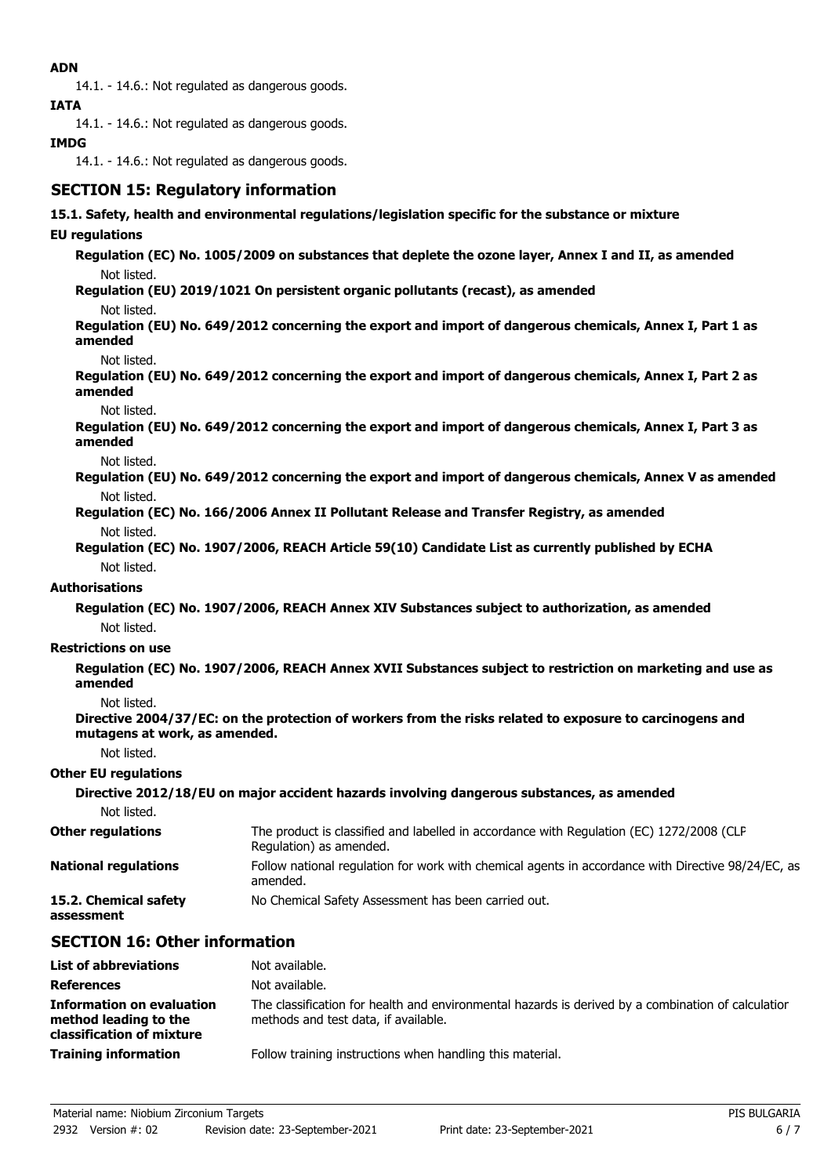### **ADN**

14.1. - 14.6.: Not regulated as dangerous goods.

**IATA**

14.1. - 14.6.: Not regulated as dangerous goods.

### **IMDG**

14.1. - 14.6.: Not regulated as dangerous goods.

## **SECTION 15: Regulatory information**

#### **15.1. Safety, health and environmental regulations/legislation specific for the substance or mixture**

#### **EU regulations**

**Regulation (EC) No. 1005/2009 on substances that deplete the ozone layer, Annex I and II, as amended** Not listed.

**Regulation (EU) 2019/1021 On persistent organic pollutants (recast), as amended**

Not listed.

**Regulation (EU) No. 649/2012 concerning the export and import of dangerous chemicals, Annex I, Part 1 as amended**

Not listed.

**Regulation (EU) No. 649/2012 concerning the export and import of dangerous chemicals, Annex I, Part 2 as amended**

Not listed.

**Regulation (EU) No. 649/2012 concerning the export and import of dangerous chemicals, Annex I, Part 3 as amended**

Not listed.

**Regulation (EU) No. 649/2012 concerning the export and import of dangerous chemicals, Annex V as amended** Not listed.

**Regulation (EC) No. 166/2006 Annex II Pollutant Release and Transfer Registry, as amended** Not listed.

**Regulation (EC) No. 1907/2006, REACH Article 59(10) Candidate List as currently published by ECHA** Not listed.

#### **Authorisations**

**Regulation (EC) No. 1907/2006, REACH Annex XIV Substances subject to authorization, as amended** Not listed.

#### **Restrictions on use**

**Regulation (EC) No. 1907/2006, REACH Annex XVII Substances subject to restriction on marketing and use as amended**

Not listed.

**Directive 2004/37/EC: on the protection of workers from the risks related to exposure to carcinogens and mutagens at work, as amended.**

Not listed.

#### **Other EU regulations**

|                                     | Directive 2012/18/EU on major accident hazards involving dangerous substances, as amended                           |
|-------------------------------------|---------------------------------------------------------------------------------------------------------------------|
| Not listed.                         |                                                                                                                     |
| <b>Other regulations</b>            | The product is classified and labelled in accordance with Regulation (EC) 1272/2008 (CLP<br>Regulation) as amended. |
| <b>National regulations</b>         | Follow national regulation for work with chemical agents in accordance with Directive 98/24/EC, as<br>amended.      |
| 15.2. Chemical safety<br>assessment | No Chemical Safety Assessment has been carried out.                                                                 |

## **SECTION 16: Other information**

| <b>List of abbreviations</b>                                                           | Not available.                                                                                                                             |
|----------------------------------------------------------------------------------------|--------------------------------------------------------------------------------------------------------------------------------------------|
| <b>References</b>                                                                      | Not available.                                                                                                                             |
| <b>Information on evaluation</b><br>method leading to the<br>classification of mixture | The classification for health and environmental hazards is derived by a combination of calculation<br>methods and test data, if available. |
| <b>Training information</b>                                                            | Follow training instructions when handling this material.                                                                                  |